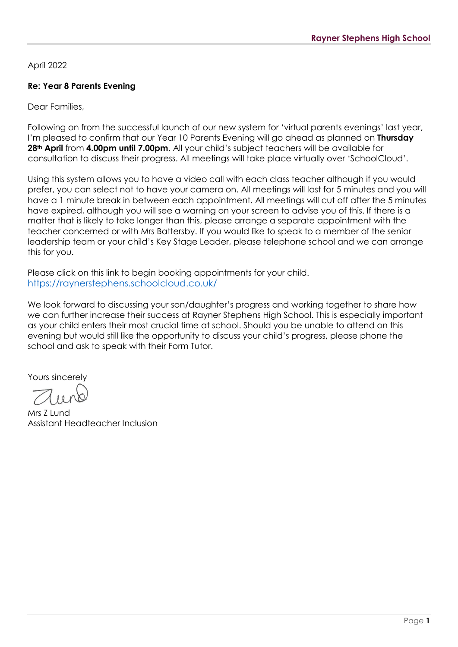April 2022

## **Re: Year 8 Parents Evening**

Dear Families,

Following on from the successful launch of our new system for 'virtual parents evenings' last year, I'm pleased to confirm that our Year 10 Parents Evening will go ahead as planned on **Thursday 28th April** from **4.00pm until 7.00pm**. All your child's subject teachers will be available for consultation to discuss their progress. All meetings will take place virtually over 'SchoolCloud'.

Using this system allows you to have a video call with each class teacher although if you would prefer, you can select not to have your camera on. All meetings will last for 5 minutes and you will have a 1 minute break in between each appointment. All meetings will cut off after the 5 minutes have expired, although you will see a warning on your screen to advise you of this. If there is a matter that is likely to take longer than this, please arrange a separate appointment with the teacher concerned or with Mrs Battersby. If you would like to speak to a member of the senior leadership team or your child's Key Stage Leader, please telephone school and we can arrange this for you.

Please click on this link to begin booking appointments for your child. <https://raynerstephens.schoolcloud.co.uk/>

We look forward to discussing your son/daughter's progress and working together to share how we can further increase their success at Rayner Stephens High School. This is especially important as your child enters their most crucial time at school. Should you be unable to attend on this evening but would still like the opportunity to discuss your child's progress, please phone the school and ask to speak with their Form Tutor.

Yours sincerely

Mrs Z Lund Assistant Headteacher Inclusion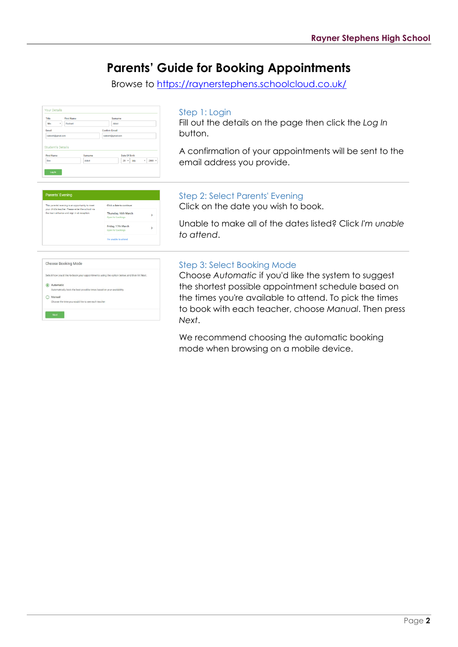# **Parents' Guide for Booking Appointments**

Browse to https://raynerstephens.schoolcloud.co.uk/



#### Step 1: Login

Fill out the details on the page then click the *Log In*  button.

A confirmation of your appointments will be sent to the email address you provide.

| <b>Parents' Evening</b>                                                                              |                                           |    |
|------------------------------------------------------------------------------------------------------|-------------------------------------------|----|
| This parents' evening is an opportunity to meet<br>your child's teacher. Please enter the school via | Click a date to continue:                 |    |
| the main entrance and sign in at reception.                                                          | Thursday, 16th March<br>Open for bookings | >  |
|                                                                                                      | Friday, 17th March<br>Open for bookings   | ۰, |
|                                                                                                      | I'm unable to attend                      |    |
|                                                                                                      |                                           |    |
|                                                                                                      |                                           |    |

Choose Booking Mode Select how you'd like to be automati O Manual

### Step 2: Select Parents' Evening

Click on the date you wish to book.

Unable to make all of the dates listed? Click *I'm unable to attend*.

#### Step 3: Select Booking Mode

Choose *Automatic* if you'd like the system to suggest the shortest possible appointment schedule based on the times you're available to attend. To pick the times to book with each teacher, choose *Manual*. Then press *Next*.

We recommend choosing the automatic booking mode when browsing on a mobile device.